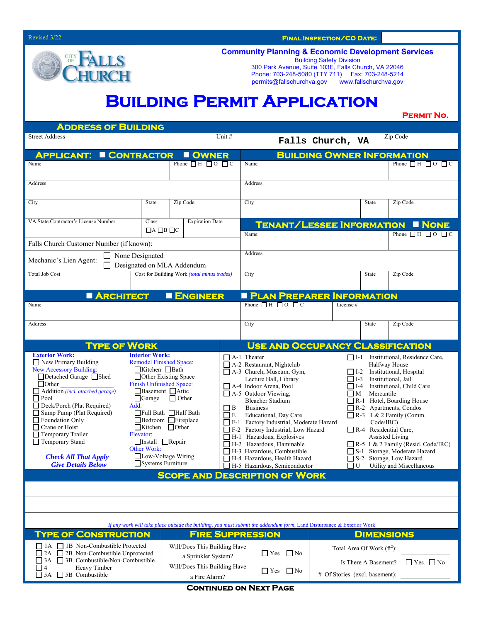Revised 3/22 **Final Inspection/CO Date:** 

## CITY<br>OF LLS

**Community Planning & Economic Development Services**  Building Safety Division

300 Park Avenue, Suite 103E, Falls Church, VA 22046 Phone: 703-248-5080 (TTY 711) Fax: 703-248-5214 permits@fallschurchva.gov www.fallschurchva.gov

## **Building Permit Application**

**Permit No.** 

| <b>ADDRESS OF BUILDING</b>                                                                                                                                                                                                                                                                                                                                                                                   |                                                                                                                                                                                                                                                                                                                                                                                                            |                                        |                          |                                                                                                                                                                                                                                                                                                                                                                                                                                                                                                                                                                                                                                                                                                                                                                                                                                                                                                                                                                                                                                                |                                                                                                                        |                  |          |              |                                                   |  |
|--------------------------------------------------------------------------------------------------------------------------------------------------------------------------------------------------------------------------------------------------------------------------------------------------------------------------------------------------------------------------------------------------------------|------------------------------------------------------------------------------------------------------------------------------------------------------------------------------------------------------------------------------------------------------------------------------------------------------------------------------------------------------------------------------------------------------------|----------------------------------------|--------------------------|------------------------------------------------------------------------------------------------------------------------------------------------------------------------------------------------------------------------------------------------------------------------------------------------------------------------------------------------------------------------------------------------------------------------------------------------------------------------------------------------------------------------------------------------------------------------------------------------------------------------------------------------------------------------------------------------------------------------------------------------------------------------------------------------------------------------------------------------------------------------------------------------------------------------------------------------------------------------------------------------------------------------------------------------|------------------------------------------------------------------------------------------------------------------------|------------------|----------|--------------|---------------------------------------------------|--|
| <b>Street Address</b>                                                                                                                                                                                                                                                                                                                                                                                        |                                                                                                                                                                                                                                                                                                                                                                                                            |                                        | Unit #                   |                                                                                                                                                                                                                                                                                                                                                                                                                                                                                                                                                                                                                                                                                                                                                                                                                                                                                                                                                                                                                                                |                                                                                                                        | Falls Church, VA |          |              | Zip Code                                          |  |
| <b>APPLICANT:</b><br><b>E CONTRACTOR</b>                                                                                                                                                                                                                                                                                                                                                                     |                                                                                                                                                                                                                                                                                                                                                                                                            | <b>OWNER</b>                           |                          |                                                                                                                                                                                                                                                                                                                                                                                                                                                                                                                                                                                                                                                                                                                                                                                                                                                                                                                                                                                                                                                |                                                                                                                        |                  |          |              | <b>BUILDING OWNER INFORMATION</b>                 |  |
| Name                                                                                                                                                                                                                                                                                                                                                                                                         |                                                                                                                                                                                                                                                                                                                                                                                                            | Phone $\Box$ $H$ $\Box$ $O$ $\Box$ $C$ |                          | Name                                                                                                                                                                                                                                                                                                                                                                                                                                                                                                                                                                                                                                                                                                                                                                                                                                                                                                                                                                                                                                           |                                                                                                                        |                  |          |              | Phone $\Box$ H $\Box$ O $\Box$ C                  |  |
| Address                                                                                                                                                                                                                                                                                                                                                                                                      |                                                                                                                                                                                                                                                                                                                                                                                                            |                                        |                          | Address                                                                                                                                                                                                                                                                                                                                                                                                                                                                                                                                                                                                                                                                                                                                                                                                                                                                                                                                                                                                                                        |                                                                                                                        |                  |          |              |                                                   |  |
| City                                                                                                                                                                                                                                                                                                                                                                                                         | State                                                                                                                                                                                                                                                                                                                                                                                                      |                                        | Zip Code                 |                                                                                                                                                                                                                                                                                                                                                                                                                                                                                                                                                                                                                                                                                                                                                                                                                                                                                                                                                                                                                                                | City                                                                                                                   |                  |          | State        | Zip Code                                          |  |
| VA State Contractor's License Number                                                                                                                                                                                                                                                                                                                                                                         | Class<br>$\Box$ A $\Box$ B $\Box$ C                                                                                                                                                                                                                                                                                                                                                                        | <b>Expiration Date</b>                 |                          | <b>TENANT/LESSEE INFORMATION</b><br>Name                                                                                                                                                                                                                                                                                                                                                                                                                                                                                                                                                                                                                                                                                                                                                                                                                                                                                                                                                                                                       |                                                                                                                        |                  |          |              | <b>I NONE</b><br>Phone $\Box$ H $\Box$ O $\Box$ C |  |
| Falls Church Customer Number (if known):                                                                                                                                                                                                                                                                                                                                                                     |                                                                                                                                                                                                                                                                                                                                                                                                            |                                        |                          |                                                                                                                                                                                                                                                                                                                                                                                                                                                                                                                                                                                                                                                                                                                                                                                                                                                                                                                                                                                                                                                |                                                                                                                        |                  |          |              |                                                   |  |
| None Designated<br>Mechanic's Lien Agent:<br>Designated on MLA Addendum                                                                                                                                                                                                                                                                                                                                      | Address                                                                                                                                                                                                                                                                                                                                                                                                    |                                        |                          |                                                                                                                                                                                                                                                                                                                                                                                                                                                                                                                                                                                                                                                                                                                                                                                                                                                                                                                                                                                                                                                |                                                                                                                        |                  |          |              |                                                   |  |
| <b>Total Job Cost</b>                                                                                                                                                                                                                                                                                                                                                                                        | Cost for Building Work (total minus trades)                                                                                                                                                                                                                                                                                                                                                                |                                        | City                     |                                                                                                                                                                                                                                                                                                                                                                                                                                                                                                                                                                                                                                                                                                                                                                                                                                                                                                                                                                                                                                                |                                                                                                                        | State            | Zip Code |              |                                                   |  |
| <b>ARCHITECT</b>                                                                                                                                                                                                                                                                                                                                                                                             |                                                                                                                                                                                                                                                                                                                                                                                                            | <b>ENGINEER</b>                        |                          | <b>PLAN PREPARER INFORMATION</b>                                                                                                                                                                                                                                                                                                                                                                                                                                                                                                                                                                                                                                                                                                                                                                                                                                                                                                                                                                                                               |                                                                                                                        |                  |          |              |                                                   |  |
| Name                                                                                                                                                                                                                                                                                                                                                                                                         |                                                                                                                                                                                                                                                                                                                                                                                                            |                                        |                          | Phone $\Box$ H $\Box$ O $\Box$ C<br>License #                                                                                                                                                                                                                                                                                                                                                                                                                                                                                                                                                                                                                                                                                                                                                                                                                                                                                                                                                                                                  |                                                                                                                        |                  |          |              |                                                   |  |
| Address                                                                                                                                                                                                                                                                                                                                                                                                      |                                                                                                                                                                                                                                                                                                                                                                                                            |                                        |                          | City                                                                                                                                                                                                                                                                                                                                                                                                                                                                                                                                                                                                                                                                                                                                                                                                                                                                                                                                                                                                                                           |                                                                                                                        |                  |          | <b>State</b> | Zip Code                                          |  |
| <b>TYPE OF WORK</b>                                                                                                                                                                                                                                                                                                                                                                                          |                                                                                                                                                                                                                                                                                                                                                                                                            |                                        |                          |                                                                                                                                                                                                                                                                                                                                                                                                                                                                                                                                                                                                                                                                                                                                                                                                                                                                                                                                                                                                                                                |                                                                                                                        |                  |          |              | <b>USE AND OCCUPANCY CLASSIFICATION</b>           |  |
| <b>Exterior Work:</b><br>$\Box$ New Primary Building<br><b>New Accessory Building:</b><br>□Detached Garage □Shed<br>$\Box$ Other<br>$\Box$ Addition (incl. attached garage)<br>$\Box$ Pool<br>Deck/Porch (Plat Required)<br>Sump Pump (Plat Required)<br>Foundation Only<br>$\Box$ Crane or Hoist<br>$\Box$ Temporary Trailer<br>Temporary Stand<br><b>Check All That Apply</b><br><b>Give Details Below</b> | <b>Interior Work:</b><br><b>Remodel Finished Space:</b><br>$\Box$ Kitchen $\Box$ Bath<br>□ Other Existing Space<br>Finish Unfinished Space:<br>Basement Attic<br>$\Box$ Other<br>$\Box$ Garage<br>Add:<br>$\Box$ B<br><b>Full Bath</b> Half Bath<br>$\Box$ E<br>Bedroom Fireplace<br>$\Box$ Kitchen $\Box$ Other<br>Elevator:<br>Install Repair<br>Other Work:<br>□Low-Voltage Wiring<br>Systems Furniture |                                        |                          | $\Box$ A-1 Theater<br>$\Box$ I-1 Institutional, Residence Care,<br>A-2 Restaurant, Nightclub<br>Halfway House<br>$\Box$ A-3 Church, Museum, Gym,<br>Institutional, Hospital<br>$\Box$ I-2<br>Lecture Hall, Library<br>$\Box$ I-3<br>Institutional, Jail<br>A-4 Indoor Arena, Pool<br>$\Box$ I-4<br>Institutional, Child Care<br>A-5 Outdoor Viewing,<br>$\Box$ M<br>Mercantile<br><b>Bleacher Stadium</b><br>R-1 Hotel, Boarding House<br><b>Business</b><br>R-2 Apartments, Condos<br>Educational, Day Care<br>$\Box$ R-3 1 & 2 Family (Comm.<br>F-1 Factory Industrial, Moderate Hazard<br>Code/IBC)<br>F-2 Factory Industrial, Low Hazard<br>R-4 Residential Care,<br>$\Box$ H-1 Hazardous, Explosives<br><b>Assisted Living</b><br>H-2 Hazardous, Flammable<br>R-5 1 & 2 Family (Resid. Code/IRC)<br>H-3 Hazardous, Combustible<br>S-1 Storage, Moderate Hazard<br>H-4 Hazardous, Health Hazard<br>S-2 Storage, Low Hazard<br>H-5 Hazardous, Semiconductor<br>U<br>Utility and Miscellaneous<br>ΙI<br><b>SCOPE AND DESCRIPTION OF WORK</b> |                                                                                                                        |                  |          |              |                                                   |  |
|                                                                                                                                                                                                                                                                                                                                                                                                              |                                                                                                                                                                                                                                                                                                                                                                                                            |                                        |                          |                                                                                                                                                                                                                                                                                                                                                                                                                                                                                                                                                                                                                                                                                                                                                                                                                                                                                                                                                                                                                                                |                                                                                                                        |                  |          |              |                                                   |  |
|                                                                                                                                                                                                                                                                                                                                                                                                              |                                                                                                                                                                                                                                                                                                                                                                                                            |                                        |                          |                                                                                                                                                                                                                                                                                                                                                                                                                                                                                                                                                                                                                                                                                                                                                                                                                                                                                                                                                                                                                                                |                                                                                                                        |                  |          |              |                                                   |  |
| If any work will take place outside the building, you must submit the addendum form, Land Disturbance & Exterior Work                                                                                                                                                                                                                                                                                        |                                                                                                                                                                                                                                                                                                                                                                                                            |                                        |                          |                                                                                                                                                                                                                                                                                                                                                                                                                                                                                                                                                                                                                                                                                                                                                                                                                                                                                                                                                                                                                                                |                                                                                                                        |                  |          |              |                                                   |  |
| <b>TYPE OF CONSTRUCTION</b><br><b>FIRE SUPPRESSION</b>                                                                                                                                                                                                                                                                                                                                                       |                                                                                                                                                                                                                                                                                                                                                                                                            |                                        |                          |                                                                                                                                                                                                                                                                                                                                                                                                                                                                                                                                                                                                                                                                                                                                                                                                                                                                                                                                                                                                                                                |                                                                                                                        |                  |          |              | <b>DIMENSIONS</b>                                 |  |
| □ 1B Non-Combustible Protected<br>$\vert$ 1A<br>Will/Does This Building Have<br>2A<br>2B Non-Combustible Unprotected<br>a Sprinkler System?<br>$\Box$ 3A<br>$\Box$ 3B Combustible/Non-Combustible<br>Will/Does This Building Have<br>П<br>Heavy Timber<br>$\vert 4 \vert$<br>$\Box$ 5B Combustible<br>$\Box$ 5A<br>a Fire Alarm?                                                                             |                                                                                                                                                                                                                                                                                                                                                                                                            |                                        | $\Box$ Yes<br>$\Box$ Yes | $\Box$ No<br>$\Box$ No                                                                                                                                                                                                                                                                                                                                                                                                                                                                                                                                                                                                                                                                                                                                                                                                                                                                                                                                                                                                                         | Total Area Of Work $(\hat{\pi}^2)$ :<br>$\Box$ Yes $\Box$ No<br>Is There A Basement?<br># Of Stories (excl. basement): |                  |          |              |                                                   |  |

**CONTINUED ON NEXT PAGE**